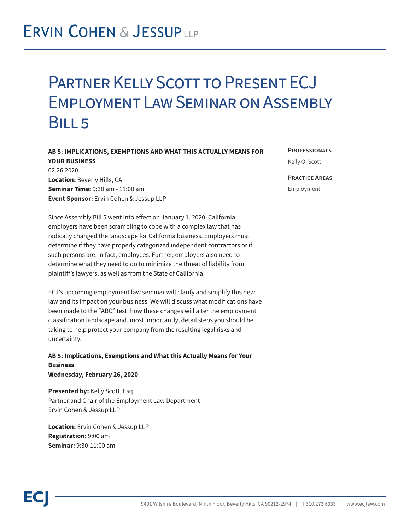## **ERVIN COHEN & JESSUPLLP**

## Partner Kelly Scott to Present ECJ Employment Law Seminar on Assembly BILL<sub>5</sub>

## **AB 5: IMPLICATIONS, EXEMPTIONS AND WHAT THIS ACTUALLY MEANS FOR YOUR BUSINESS** 02.26.2020 **Location:** Beverly Hills, CA **Seminar Time:** 9:30 am - 11:00 am **Event Sponsor:** Ervin Cohen & Jessup LLP

Since Assembly Bill 5 went into effect on January 1, 2020, California employers have been scrambling to cope with a complex law that has radically changed the landscape for California business. Employers must determine if they have properly categorized independent contractors or if such persons are, in fact, employees. Further, employers also need to determine what they need to do to minimize the threat of liability from plaintiff's lawyers, as well as from the State of California.

ECJ's upcoming employment law seminar will clarify and simplify this new law and its impact on your business. We will discuss what modifications have been made to the "ABC" test, how these changes will alter the employment classification landscape and, most importantly, detail steps you should be taking to help protect your company from the resulting legal risks and uncertainty.

**AB 5: Implications, Exemptions and What this Actually Means for Your Business Wednesday, February 26, 2020** 

**Presented by:** Kelly Scott, Esq. Partner and Chair of the Employment Law Department Ervin Cohen & Jessup LLP

**Location:** Ervin Cohen & Jessup LLP **Registration:** 9:00 am **Seminar:** 9:30-11:00 am

**Professionals**

Kelly O. Scott

**Practice Areas** Employment